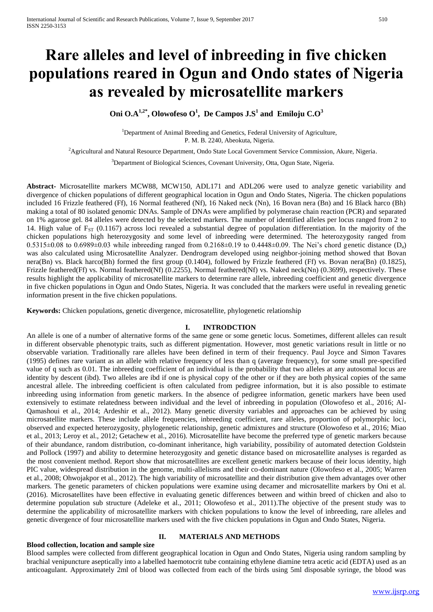# **Rare alleles and level of inbreeding in five chicken populations reared in Ogun and Ondo states of Nigeria as revealed by microsatellite markers**

**Oni O.A1,2\*, Olowofeso O<sup>1</sup> , De Campos J.S<sup>1</sup> and Emiloju C.O<sup>3</sup>**

<sup>1</sup>Department of Animal Breeding and Genetics, Federal University of Agriculture, P. M. B. 2240, Abeokuta, Nigeria.

<sup>2</sup>Agricultural and Natural Resource Department, Ondo State Local Government Service Commission, Akure, Nigeria.

<sup>3</sup>Department of Biological Sciences, Covenant University, Otta, Ogun State, Nigeria.

**Abstract-** Microsatellite markers MCW88, MCW150, ADL171 and ADL206 were used to analyze genetic variability and divergence of chicken populations of different geographical location in Ogun and Ondo States, Nigeria. The chicken populations included 16 Frizzle feathered (Ff), 16 Normal feathered (Nf), 16 Naked neck (Nn), 16 Bovan nera (Bn) and 16 Black harco (Bh) making a total of 80 isolated genomic DNAs. Sample of DNAs were amplified by polymerase chain reaction (PCR) and separated on 1% agarose gel. 84 alleles were detected by the selected markers. The number of identified alleles per locus ranged from 2 to 14. High value of  $F_{ST}$  (0.1167) across loci revealed a substantial degree of population differentiation. In the majority of the chicken populations high heterozygosity and some level of inbreeding were determined. The heterozygosity ranged from  $0.5315\pm0.08$  to  $0.6989\pm0.03$  while inbreeding ranged from  $0.2168\pm0.19$  to  $0.4448\pm0.09$ . The Nei's chord genetic distance (D<sub>a</sub>) was also calculated using Microsatellite Analyzer. Dendrogram developed using neighbor-joining method showed that Bovan nera(Bn) vs. Black harco(Bh) formed the first group (0.1404), followed by Frizzle feathered (Ff) vs. Bovan nera(Bn) (0.1825), Frizzle feathered(Ff) vs. Normal feathered(Nf) (0.2255), Normal feathered(Nf) vs. Naked neck(Nn) (0.3699), respectively. These results highlight the applicability of microsatellite markers to determine rare allele, inbreeding coefficient and genetic divergence in five chicken populations in Ogun and Ondo States, Nigeria. It was concluded that the markers were useful in revealing genetic information present in the five chicken populations.

**Keywords:** Chicken populations, genetic divergence, microsatellite, phylogenetic relationship

## **I. INTRODCTION**

An allele is one of a number of alternative forms of the same gene or some genetic locus. Sometimes, different alleles can result in different observable phenotypic traits, such as different pigmentation. However, most genetic variations result in little or no observable variation. Traditionally rare alleles have been defined in term of their frequency. Paul Joyce and Simon Tavares (1995) defines rare variant as an allele with relative frequency of less than q (average frequency), for some small pre-specified value of q such as 0.01. The inbreeding coefficient of an individual is the probability that two alleles at any autosomal locus are identity by descent (ibd). Two alleles are ibd if one is physical copy of the other or if they are both physical copies of the same ancestral allele. The inbreeding coefficient is often calculated from pedigree information, but it is also possible to estimate inbreeding using information from genetic markers. In the absence of pedigree information, genetic markers have been used extensively to estimate relatedness between individual and the level of inbreeding in population (Olowofeso et al., 2016; Al-Qamashoui et al., 2014; Ardeshir et al., 2012). Many genetic diversity variables and approaches can be achieved by using microsatellite markers. These include allele frequencies, inbreeding coefficient, rare alleles, proportion of polymorphic loci, observed and expected heterozygosity, phylogenetic relationship, genetic admixtures and structure (Olowofeso et al., 2016; Miao et al., 2013; Leroy et al., 2012; Getachew et al., 2016). Microsatellite have become the preferred type of genetic markers because of their abundance, random distribution, co-dominant inheritance, high variability, possibility of automated detection Goldstein and Pollock (1997) and ability to determine heterozygosity and genetic distance based on microsatellite analyses is regarded as the most convenient method. Report show that microsatellites are excellent genetic markers because of their locus identity, high PIC value, widespread distribution in the genome, multi-allelisms and their co-dominant nature (Olowofeso et al., 2005; Warren et al., 2008; Ohwojakpor et al., 2012). The high variability of microsatellite and their distribution give them advantages over other markers. The genetic parameters of chicken populations were examine using decamer and microsatellite markers by Oni et al. (2016). Microsatellites have been effective in evaluating genetic differences between and within breed of chicken and also to determine population sub structure (Adeleke et al., 2011; Olowofeso et al., 2011).The objective of the present study was to determine the applicability of microsatellite markers with chicken populations to know the level of inbreeding, rare alleles and genetic divergence of four microsatellite markers used with the five chicken populations in Ogun and Ondo States, Nigeria.

## **Blood collection, location and sample size**

## **II. MATERIALS AND METHODS**

Blood samples were collected from different geographical location in Ogun and Ondo States, Nigeria using random sampling by brachial venipuncture aseptically into a labelled haemotocrit tube containing ethylene diamine tetra acetic acid (EDTA) used as an anticoagulant. Approximately 2ml of blood was collected from each of the birds using 5ml disposable syringe, the blood was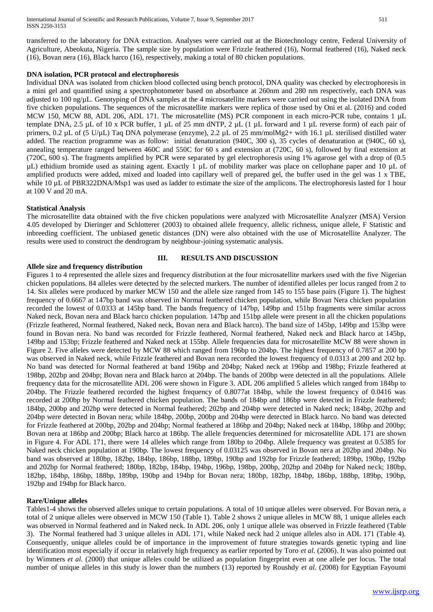transferred to the laboratory for DNA extraction. Analyses were carried out at the Biotechnology centre, Federal University of Agriculture, Abeokuta, Nigeria. The sample size by population were Frizzle feathered (16), Normal feathered (16), Naked neck (16), Bovan nera (16), Black harco (16), respectively, making a total of 80 chicken populations.

#### **DNA isolation, PCR protocol and electrophoresis**

Individual DNA was isolated from chicken blood collected using bench protocol, DNA quality was checked by electrophoresis in a mini gel and quantified using a spectrophotometer based on absorbance at 260nm and 280 nm respectively, each DNA was adjusted to 100 ng/µL. Genotyping of DNA samples at the 4 microsatellite markers were carried out using the isolated DNA from five chicken populations. The sequences of the microsatellite markers were replica of those used by Oni et al. (2016) and coded MCW 150, MCW 88, ADL 206, ADL 171. The microsatellite (MS) PCR component in each micro-PCR tube, contains 1 µL template DNA, 2.5 µL of 10 x PCR buffer, 1 µL of 25 mm dNTP, 2 µL (1 µL forward and 1 µL reverse form) of each pair of primers, 0.2 µL of (5 U/µL) Taq DNA polymerase (enzyme), 2.2 µL of 25 mm/molMg2+ with 16.1 µL sterilised distilled water added. The reaction programme was as follow: initial denaturation (940C, 300 s), 35 cycles of denaturation at (940C, 60 s), annealing temperature ranged between 460C and 550C for 60 s and extension at (720C, 60 s), followed by final extension at (720C, 600 s). The fragments amplified by PCR were separated by gel electrophoresis using 1% agarose gel with a drop of (0.5 µL) ethidium bromide used as staining agent. Exactly 1 µL of mobility marker was place on cellophane paper and 10 µL of amplified products were added, mixed and loaded into capillary well of prepared gel, the buffer used in the gel was 1 x TBE, while 10 µL of PBR322DNA/Msp1 was used as ladder to estimate the size of the amplicons. The electrophoresis lasted for 1 hour at 100 V and 20 mA.

#### **Statistical Analysis**

The microsatellite data obtained with the five chicken populations were analyzed with Microsatellite Analyzer (MSA) Version 4.05 developed by Dieringer and Schlotterer (2003) to obtained allele frequency, allelic richness, unique allele, F Statistic and inbreeding coefficient. The unbiased genetic distances (DN) were also obtained with the use of Microsatellite Analyzer. The results were used to construct the dendrogram by neighbour-joining systematic analysis.

## **Allele size and frequency distribution**

#### **III. RESULTS AND DISCUSSION**

Figures 1 to 4 represented the allele sizes and frequency distribution at the four microsatellite markers used with the five Nigerian chicken populations. 84 alleles were detected by the selected markers. The number of identified alleles per locus ranged from 2 to 14. Six alleles were produced by marker MCW 150 and the allele size ranged from 145 to 155 base pairs (Figure 1). The highest frequency of 0.6667 at 147bp band was observed in Normal feathered chicken population, while Bovan Nera chicken population recorded the lowest of 0.0333 at 145bp band. The bands frequency of 147bp, 149bp and 151bp fragments were similar across Naked neck, Bovan nera and Black harco chicken population. 147bp and 151bp allele were present in all the chicken populations (Frizzle feathered, Normal feathered, Naked neck, Bovan nera and Black harco). The band size of 145bp, 149bp and 153bp were found in Bovan nera. No band was recorded for Frizzle feathered, Normal feathered, Naked neck and Black harco at 145bp, 149bp and 153bp; Frizzle feathered and Naked neck at 155bp. Allele frequencies data for microsatellite MCW 88 were shown in Figure 2. Five alleles were detected by MCW 88 which ranged from 196bp to 204bp. The highest frequency of 0.7857 at 200 bp was observed in Naked neck, while Frizzle feathered and Bovan nera recorded the lowest frequency of 0.0313 at 200 and 202 bp. No band was detected for Normal feathered at band 196bp and 204bp; Naked neck at 196bp and 198bp; Frizzle feathered at 198bp, 202bp and 204bp; Bovan nera and Black harco at 204bp. The bands of 200bp were detected in all the populations. Allele frequency data for the microsatellite ADL 206 were shown in Figure 3. ADL 206 amplified 5 alleles which ranged from 184bp to 204bp. The Frizzle feathered recorded the highest frequency of 0.8077at 184bp, while the lowest frequency of 0.0416 was recorded at 200bp by Normal feathered chicken population. The bands of 184bp and 186bp were detected in Frizzle feathered; 184bp, 200bp and 202bp were detected in Normal feathered; 202bp and 204bp were detected in Naked neck; 184bp, 202bp and 204bp were detected in Bovan nera; while 184bp, 200bp, 200bp and 204bp were detected in Black harco. No band was detected for Frizzle feathered at 200bp, 202bp and 204bp; Normal feathered at 186bp and 204bp; Naked neck at 184bp, 186bp and 200bp; Bovan nera at 186bp and 200bp; Black harco at 186bp. The allele frequencies determined for microsatellite ADL 171 are shown in Figure 4. For ADL 171, there were 14 alleles which range from 180bp to 204bp. Allele frequency was greatest at 0.5385 for Naked neck chicken population at 190bp. The lowest frequency of 0.03125 was observed in Bovan nera at 202bp and 204bp. No band was observed at 180bp, 182bp, 184bp, 186bp, 188bp, 189bp, 190bp and 192bp for Frizzle feathered; 189bp, 190bp, 192bp and 202bp for Normal feathered; 180bp, 182bp, 184bp, 194bp, 196bp, 198bp, 200bp, 202bp and 204bp for Naked neck; 180bp, 182bp, 184bp, 186bp, 188bp, 189bp, 190bp and 194bp for Bovan nera; 180bp, 182bp, 184bp, 186bp, 188bp, 189bp, 190bp, 192bp and 194bp for Black harco.

### **Rare/Unique alleles**

Tables1-4 shows the observed alleles unique to certain populations. A total of 10 unique alleles were observed. For Bovan nera, a total of 2 unique alleles were observed in MCW 150 (Table 1). Table 2 shows 2 unique alleles in MCW 88, 1 unique alleles each was observed in Normal feathered and in Naked neck. In ADL 206, only 1 unique allele was observed in Frizzle feathered (Table 3). The Normal feathered had 3 unique alleles in ADL 171, while Naked neck had 2 unique alleles also in ADL 171 (Table 4). Consequently, unique alleles could be of importance in the improvement of future strategies towards genetic typing and line identification most especially if occur in relatively high frequency as earlier reported by Toro *et al.* (2006). It was also pointed out by Wimmers *et al.* (2000) that unique alleles could be utilized as population fingerprint even at one allele per locus. The total number of unique alleles in this study is lower than the numbers (13) reported by Roushdy *et al.* (2008) for Egyptian Fayoumi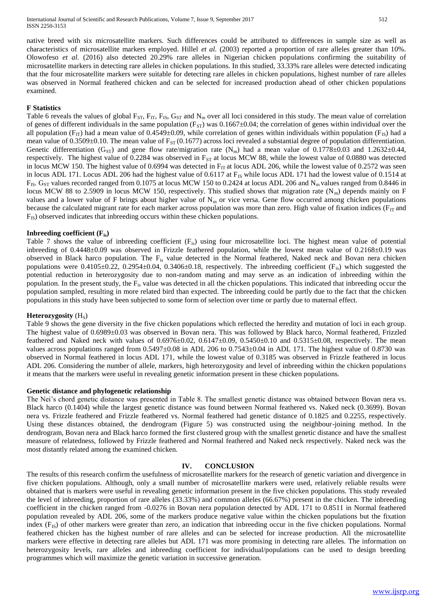native breed with six microsatellite markers. Such differences could be attributed to differences in sample size as well as characteristics of microsatellite markers employed. Hillel *et al.* (2003) reported a proportion of rare alleles greater than 10%. Olowofeso *et al.* (2016) also detected 20.29% rare alleles in Nigerian chicken populations confirming the suitability of microsatellite markers in detecting rare alleles in chicken populations. In this studied, 33.33% rare alleles were detected indicating that the four microsatellite markers were suitable for detecting rare alleles in chicken populations, highest number of rare alleles was observed in Normal feathered chicken and can be selected for increased production ahead of other chicken populations examined.

#### **F Statistics**

Table 6 reveals the values of global  $F_{ST}$ ,  $F_{IT}$ ,  $F_{IS}$ ,  $G_{ST}$  and  $N_m$  over all loci considered in this study. The mean value of correlation of genes of different individuals in the same population ( $F_{ST}$ ) was 0.1667 $\pm$ 0.04; the correlation of genes within individual over the all population ( $F_{IT}$ ) had a mean value of 0.4549±0.09, while correlation of genes within individuals within population ( $F_{IS}$ ) had a mean value of  $0.3509\pm0.10$ . The mean value of  $F_{ST}(0.1677)$  across loci revealed a substantial degree of population differentiation. Genetic differentiation (G<sub>ST</sub>) and gene flow rate/migration rate (N<sub>m</sub>) had a mean value of 0.1778±0.03 and 1.2632±0.44, respectively. The highest value of 0.2284 was observed in  $F_{ST}$  at locus MCW 88, while the lowest value of 0.0880 was detected in locus MCW 150. The highest value of 0.6994 was detected in  $F_{IT}$  at locus ADL 206, while the lowest value of 0.2572 was seen in locus ADL 171. Locus ADL 206 had the highest value of 0.6117 at  $F_{IS}$  while locus ADL 171 had the lowest value of 0.1514 at  $F_{IS}$ . G<sub>ST</sub> values recorded ranged from 0.1075 at locus MCW 150 to 0.2424 at locus ADL 206 and N<sub>m</sub> values ranged from 0.8446 in locus MCW 88 to 2.5909 in locus MCW 150, respectively. This studied shows that migration rate  $(N_m)$  depends mainly on F values and a lower value of F brings about higher value of  $N<sub>m</sub>$  or vice versa. Gene flow occurred among chicken populations because the calculated migrant rate for each marker across population was more than zero. High value of fixation indices ( $F_{IT}$  and F<sub>IS</sub>) observed indicates that inbreeding occurs within these chicken populations.

#### **Inbreeding coefficient (Fis)**

Table 7 shows the value of inbreeding coefficient  $(F_{is})$  using four microsatellite loci. The highest mean value of potential inbreeding of 0.4448±0.09 was observed in Frizzle feathered population, while the lowest mean value of 0.2168±0.19 was observed in Black harco population. The Fis value detected in the Normal feathered, Naked neck and Bovan nera chicken populations were  $0.4105\pm0.22$ ,  $0.2954\pm0.04$ ,  $0.3406\pm0.18$ , respectively. The inbreeding coefficient (F<sub>is</sub>) which suggested the potential reduction in heterozygosity due to non-random mating and may serve as an indication of inbreeding within the population. In the present study, the Fis value was detected in all the chicken populations. This indicated that inbreeding occur the population sampled, resulting in more related bird than expected. The inbreeding could be partly due to the fact that the chicken populations in this study have been subjected to some form of selection over time or partly due to maternal effect.

#### **Heterozygosity** (H<sub>S</sub>)

Table 9 shows the gene diversity in the five chicken populations which reflected the heredity and mutation of loci in each group. The highest value of 0.6989±0.03 was observed in Bovan nera. This was followed by Black harco, Normal feathered, Frizzled feathered and Naked neck with values of  $0.6976\pm0.02$ ,  $0.6147\pm0.09$ ,  $0.5450\pm0.10$  and  $0.5315\pm0.08$ , respectively. The mean values across populations ranged from  $0.5497\pm0.08$  in ADL 206 to  $0.7543\pm0.04$  in ADL 171. The highest value of 0.8730 was observed in Normal feathered in locus ADL 171, while the lowest value of 0.3185 was observed in Frizzle feathered in locus ADL 206. Considering the number of allele, markers, high heterozygosity and level of inbreeding within the chicken populations it means that the markers were useful in revealing genetic information present in these chicken populations.

#### **Genetic distance and phylogenetic relationship**

The Nei's chord genetic distance was presented in Table 8. The smallest genetic distance was obtained between Bovan nera vs. Black harco (0.1404) while the largest genetic distance was found between Normal feathered vs. Naked neck (0.3699). Bovan nera vs. Frizzle feathered and Frizzle feathered vs. Normal feathered had genetic distance of 0.1825 and 0.2255, respectively. Using these distances obtained, the dendrogram (Figure 5) was constructed using the neighbour-joining method. In the dendrogram, Bovan nera and Black harco formed the first clustered group with the smallest genetic distance and have the smallest measure of relatedness, followed by Frizzle feathered and Normal feathered and Naked neck respectively. Naked neck was the most distantly related among the examined chicken.

#### **IV. CONCLUSION**

The results of this research confirm the usefulness of microsatellite markers for the research of genetic variation and divergence in five chicken populations. Although, only a small number of microsatellite markers were used, relatively reliable results were obtained that is markers were useful in revealing genetic information present in the five chicken populations. This study revealed the level of inbreeding, proportion of rare alleles (33.33%) and common alleles (66.67%) present in the chicken. The inbreeding coefficient in the chicken ranged from -0.0276 in Bovan nera population detected by ADL 171 to 0.8511 in Normal feathered population revealed by ADL 206, some of the markers produce negative value within the chicken populations but the fixation index  $(F_{1S})$  of other markers were greater than zero, an indication that inbreeding occur in the five chicken populations. Normal feathered chicken has the highest number of rare alleles and can be selected for increase production. All the microsatellite markers were effective in detecting rare alleles but ADL 171 was more promising in detecting rare alleles. The information on heterozygosity levels, rare alleles and inbreeding coefficient for individual/populations can be used to design breeding programmes which will maximize the genetic variation in successive generation.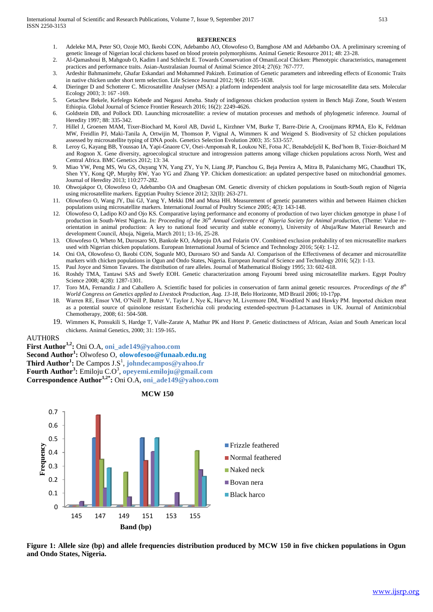#### **REFERENCES**

- 1. Adeleke MA, Peter SO, Ozoje MO, Ikeobi CON, Adebambo AO, Olowofeso O, Bamgbose AM and Adebambo OA. A preliminary screening of genetic lineage of Nigerian local chickens based on blood protein polymorphisms. Animal Genetic Resource 2011; 48: 23-28.
- 2. Al-Qamashoui B, Mahgoub O, Kadim I and Schlecht E. Towards Conservation of OmaniLocal Chicken: Phenotypic characteristics, management practices and performance traits. Asian-Australasian Journal of Animal Science 2014; 27(6): 767-777.
- 3. Ardeshir Bahmanimehr, Ghafar Eskandari and Mohammed Pakizeh. Estimation of Genetic parameters and inbreeding effects of Economic Traits in native chicken under short term selection. Life Science Journal 2012; 9(4): 1635-1638.
- 4. Dieringer D and Schotterer C. Microsatellite Analyser (MSA): a platform independent analysis tool for large microsatellite data sets. Molecular Ecology 2003; 3: 167 -169.
- 5. Getachew Bekele, Kefelegn Kebede and Negassi Ameha. Study of indigenous chicken production system in Bench Maji Zone, South Western Ethiopia. Global Journal of Science Frontier Research 2016; 16(2): 2249-4626.
- 6. Goldstein DB, and Pollock DD. Launching microsatellite: a review of mutation processes and methods of phylogenetic inference. Journal of Heredity 1997; 88: 335-342.
- 7. Hillel J, Groenen MAM, Tixer-Biochard M, Korol AB, David L, Kirzhner VM, Burke T, Barre-Dirie A, Crooijmans RPMA, Elo K, Feldman MW, Freidlin PJ, Maki-Tanila A, Ortwijin M, Thomson P, Vignal A, Wimmers K and Weigend S. Biodiversity of 52 chicken populations assessed by microsatellite typing of DNA pools*.* Genetics Selection Evolution 2003; 35: 533-557.
- 8. Leroy G, Kayang BB, Youssao IA, Yapi-Gnaore CV, Osei-Amponsah R, Loukou NE, Fotsa JC, Benabdeljelil K, Bed'hom B, Tixier-Boichard M and Rognon X. Gene diversity, agroecological structure and introgression patterns among village chicken populations across North, West and Central Africa. BMC Genetics 2012; 13: 34.
- 9. Miao YW, Peng MS, Wu GS, Ouyang YN, Yang ZY, Yu N, Liang JP, Pianchou G, Beja Pereira A, Mitra B, Palanichamy MG, Chaudhuri TK, Shen YY, Kong QP, Murphy RW, Yao YG and Zhang YP. Chicken domestication: an updated perspective based on mitochondrial genomes. Journal of Heredity 2013; 110:277-282.
- 10. Ohwojakpor O, Olowofeso O, Adebambo OA and Onagbesan OM. Genetic diversity of chicken populations in South-South region of Nigeria using microsatellite markers. Egyptian Poultry Science 2012; 32(II): 263-271.
- 11. Olowofeso O, Wang JY, Dai GJ, Yang Y, Mekki DM and Musa HH. Measurement of genetic parameters within and between Haimen chicken populations using microsatellite markers*.* International Journal of Poultry Science 2005; 4(3): 143-148.
- 12. Olowofeso O, Ladipo KO and Ojo KS. Comparative laying performance and economy of production of two layer chicken genotype in phase I of production in South-West Nigeria. *In: Proceeding of the 36th Annual Conference of Nigeria Society for Animal production,* (Theme: Value reorientation in animal production: A key to national food security and stable economy), University of Abuja/Raw Material Research and development Council, Abuja, Nigeria, March 2011; 13-16, 25-28.
- 13. Olowofeso O, Wheto M, Durosaro SO, Bankole KO, Adepoju DA and Folarin OV. Combined exclusion probability of ten microsatellite markers used with Nigerian chicken populations. European International Journal of Science and Technology 2016; 5(4): 1-12.
- 14. Oni OA, Olowofeso O, Ikeobi CON, Sogunle MO, Durosaro SO and Sanda AJ. Comparison of the Effectiveness of decamer and microsatellite markers with chicken populations in Ogun and Ondo States, Nigeria. European Journal of Science and Technology 2016; 5(2): 1-13.
- 15. Paul Joyce and Simon Tavares. The distribution of rare alleles. Journal of Mathematical Biology 1995; 33: 602-618.
- 16. Roshdy TMA, Tantawi SAS and Swefy EOH. Genetic characterization among Fayoumi breed using microsatellite markers. Egypt Poultry Science 2008; 4(28): 1287-1301.
- 17. Toro MA, Fernandiz J and Caballero A. Scientific based for policies in conservation of farm animal genetic resources. *Proceedings of the 8th World Congress on Genetics applied to Livestock Production, Aug. 13-18,* Belo Horizonte, MD Brazil 2006; 10-17pp.
- 18. Warren RE, Ensor VM, O'Neill P, Butter V, Taylor J, Nye K, Harvey M, Livermore DM, Woodford N and Hawky PM. Imported chicken meat as a potential source of quinolone resistant Escherichia coli producing extended-spectrum β-Lactamases in UK. Journal of Antimicrobial Chemotherapy, 2008; 61: 504-508.
- 19. Wimmers K, Ponsukili S, Hardge T, Valle-Zarate A, Mathur PK and Horst P. Genetic distinctness of African, Asian and South American local chickens*.* Animal Genetics, 2000; 31: 159-165.

#### AUTH0RS

**First Author1,2:** Oni O.A, **oni\_ade149@yahoo.com**

**Second Author<sup>1</sup> :** Olwofeso O, **[olowofesoo@funaab.edu.ng](mailto:olowofesoo@funaab.edu.ng)**

**Third Author<sup>1</sup> :** De Campos J.S<sup>1</sup> , **johndecampos@yahoo.fr**

**Fourth Author<sup>3</sup> :** Emiloju C.O<sup>3</sup> , **opeyemi.emiloju@gmail.com**

**Correspondence Author1,2\* :** Oni O.A, **oni\_ade149@yahoo.com**



**MCW 150**

Figure 1: Allele size (bp) and allele frequencies distribution produced by MCW 150 in five chicken populations in Ogun **and Ondo States, Nigeria.**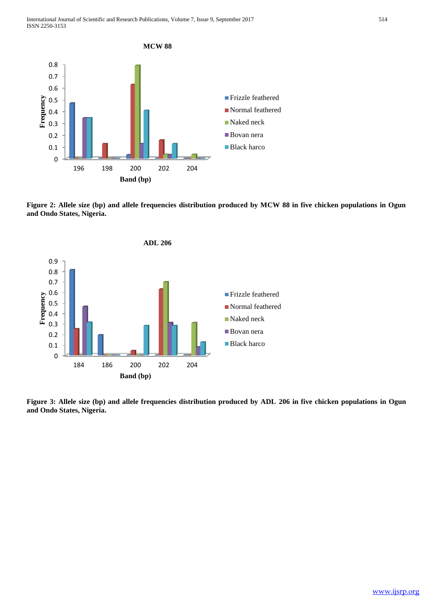

**Figure 2: Allele size (bp) and allele frequencies distribution produced by MCW 88 in five chicken populations in Ogun and Ondo States, Nigeria.** 



**Figure 3: Allele size (bp) and allele frequencies distribution produced by ADL 206 in five chicken populations in Ogun and Ondo States, Nigeria.**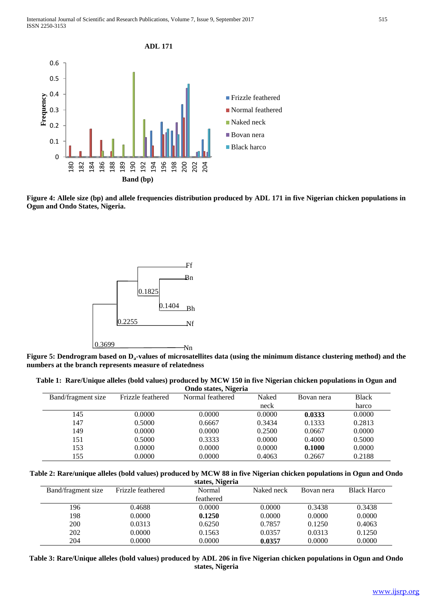

**Figure 4: Allele size (bp) and allele frequencies distribution produced by ADL 171 in five Nigerian chicken populations in Ogun and Ondo States, Nigeria.**



**Figure 5: Dendrogram based on Da-values of microsatellites data (using the minimum distance clustering method) and the numbers at the branch represents measure of relatedness**

| Table 1: Rare/Unique alleles (bold values) produced by MCW 150 in five Nigerian chicken populations in Ogun and |                      |  |  |
|-----------------------------------------------------------------------------------------------------------------|----------------------|--|--|
|                                                                                                                 | Ondo states, Nigeria |  |  |

|                    |                   | $\sigma$ <i>nao</i> baatoo, $\sigma$ |        |            |              |
|--------------------|-------------------|--------------------------------------|--------|------------|--------------|
| Band/fragment size | Frizzle feathered | Normal feathered                     | Naked  | Bovan nera | <b>Black</b> |
|                    |                   |                                      | neck   |            | harco        |
| 145                | 0.0000            | 0.0000                               | 0.0000 | 0.0333     | 0.0000       |
| 147                | 0.5000            | 0.6667                               | 0.3434 | 0.1333     | 0.2813       |
| 149                | 0.0000            | 0.0000                               | 0.2500 | 0.0667     | 0.0000       |
| 151                | 0.5000            | 0.3333                               | 0.0000 | 0.4000     | 0.5000       |
| 153                | 0.0000            | 0.0000                               | 0.0000 | 0.1000     | 0.0000       |
| 155                | 0.0000            | 0.0000                               | 0.4063 | 0.2667     | 0.2188       |

**Table 2: Rare/unique alleles (bold values) produced by MCW 88 in five Nigerian chicken populations in Ogun and Ondo** 

|                    |                   | states, Nigeria |            |            |                    |
|--------------------|-------------------|-----------------|------------|------------|--------------------|
| Band/fragment size | Frizzle feathered | Normal          | Naked neck | Bovan nera | <b>Black Harco</b> |
|                    |                   | feathered       |            |            |                    |
| 196                | 0.4688            | 0.0000          | 0.0000     | 0.3438     | 0.3438             |
| 198                | 0.0000            | 0.1250          | 0.0000     | 0.0000     | 0.0000             |
| 200                | 0.0313            | 0.6250          | 0.7857     | 0.1250     | 0.4063             |
| 202                | 0.0000            | 0.1563          | 0.0357     | 0.0313     | 0.1250             |
| 204                | 0.0000            | 0.0000          | 0.0357     | 0.0000     | 0.0000             |

**Table 3: Rare/Unique alleles (bold values) produced by ADL 206 in five Nigerian chicken populations in Ogun and Ondo states, Nigeria**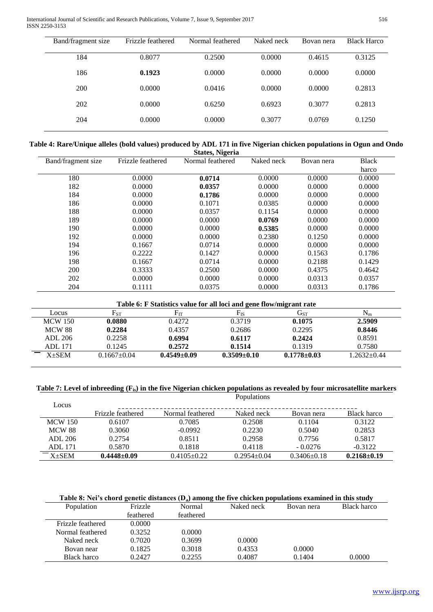International Journal of Scientific and Research Publications, Volume 7, Issue 9, September 2017 516 ISSN 2250-3153

| Band/fragment size | Frizzle feathered | Normal feathered | Naked neck | Bovan nera | <b>Black Harco</b> |
|--------------------|-------------------|------------------|------------|------------|--------------------|
| 184                | 0.8077            | 0.2500           | 0.0000     | 0.4615     | 0.3125             |
| 186                | 0.1923            | 0.0000           | 0.0000     | 0.0000     | 0.0000             |
| 200                | 0.0000            | 0.0416           | 0.0000     | 0.0000     | 0.2813             |
| 202                | 0.0000            | 0.6250           | 0.6923     | 0.3077     | 0.2813             |
| 204                | 0.0000            | 0.0000           | 0.3077     | 0.0769     | 0.1250             |

| Table 4: Rare/Unique alleles (bold values) produced by ADL 171 in five Nigerian chicken populations in Ogun and Ondo |  |  |  |
|----------------------------------------------------------------------------------------------------------------------|--|--|--|
|----------------------------------------------------------------------------------------------------------------------|--|--|--|

| <b>States, Nigeria</b> |                   |                  |            |            |              |  |  |
|------------------------|-------------------|------------------|------------|------------|--------------|--|--|
| Band/fragment size     | Frizzle feathered | Normal feathered | Naked neck | Bovan nera | <b>Black</b> |  |  |
|                        |                   |                  |            |            | harco        |  |  |
| 180                    | 0.0000            | 0.0714           | 0.0000     | 0.0000     | 0.0000       |  |  |
| 182                    | 0.0000            | 0.0357           | 0.0000     | 0.0000     | 0.0000       |  |  |
| 184                    | 0.0000            | 0.1786           | 0.0000     | 0.0000     | 0.0000       |  |  |
| 186                    | 0.0000            | 0.1071           | 0.0385     | 0.0000     | 0.0000       |  |  |
| 188                    | 0.0000            | 0.0357           | 0.1154     | 0.0000     | 0.0000       |  |  |
| 189                    | 0.0000            | 0.0000           | 0.0769     | 0.0000     | 0.0000       |  |  |
| 190                    | 0.0000            | 0.0000           | 0.5385     | 0.0000     | 0.0000       |  |  |
| 192                    | 0.0000            | 0.0000           | 0.2380     | 0.1250     | 0.0000       |  |  |
| 194                    | 0.1667            | 0.0714           | 0.0000     | 0.0000     | 0.0000       |  |  |
| 196                    | 0.2222            | 0.1427           | 0.0000     | 0.1563     | 0.1786       |  |  |
| 198                    | 0.1667            | 0.0714           | 0.0000     | 0.2188     | 0.1429       |  |  |
| 200                    | 0.3333            | 0.2500           | 0.0000     | 0.4375     | 0.4642       |  |  |
| 202                    | 0.0000            | 0.0000           | 0.0000     | 0.0313     | 0.0357       |  |  |
| 204                    | 0.1111            | 0.0375           | 0.0000     | 0.0313     | 0.1786       |  |  |

#### **Table 6: F Statistics value for all loci and gene flow/migrant rate**

| Locus          | $F_{ST}$          | $\mathbf{F}_{\mathbf{r}\mathbf{r}}$ | Гтс               | $\mathrm{G}_{\mathrm{ST}}$ | $N_{m}$      |
|----------------|-------------------|-------------------------------------|-------------------|----------------------------|--------------|
| <b>MCW</b> 150 | 0.0880            | 0.4272                              | 0.3719            | 0.1075                     | 2.5909       |
| <b>MCW 88</b>  | 0.2284            | 0.4357                              | 0.2686            | 0.2295                     | 0.8446       |
| ADL 206        | 0.2258            | 0.6994                              | 0.6117            | 0.2424                     | 0.8591       |
| <b>ADL</b> 171 | 0.1245            | 0.2572                              | 0.1514            | 0.1319                     | 0.7580       |
| $X+SEM$        | $0.1667 \pm 0.04$ | $0.4549 \pm 0.09$                   | $0.3509 \pm 0.10$ | $0.1778 \pm 0.03$          | $.2632+0.44$ |

#### **Table 7: Level of inbreeding (Fis) in the five Nigerian chicken populations as revealed by four microsatellite markers** Populations

| Locus          |                   |                  |               |                   |                   |
|----------------|-------------------|------------------|---------------|-------------------|-------------------|
|                | Frizzle feathered | Normal feathered | Naked neck    | Bovan nera        | Black harco       |
| <b>MCW 150</b> | 0.6107            | 0.7085           | 0.2508        | 0.1104            | 0.3122            |
| <b>MCW 88</b>  | 0.3060            | $-0.0992$        | 0.2230        | 0.5040            | 0.2853            |
| ADL 206        | 0.2754            | 0.8511           | 0.2958        | 0.7756            | 0.5817            |
| <b>ADL</b> 171 | 0.5870            | 0.1818           | 0.4118        | $-0.0276$         | $-0.3122$         |
| $-x+SEM$       | $0.4448 + 0.09$   | $0.4105 + 0.22$  | $0.2954+0.04$ | $0.3406 \pm 0.18$ | $0.2168 \pm 0.19$ |

**Table 8: Nei's chord genetic distances (Da) among the five chicken populations examined in this study**

| Population        | Frizzle   | Normal    | Naked neck | Bovan nera | Black harco |
|-------------------|-----------|-----------|------------|------------|-------------|
|                   | feathered | feathered |            |            |             |
| Frizzle feathered | 0.0000    |           |            |            |             |
| Normal feathered  | 0.3252    | 0.0000    |            |            |             |
| Naked neck        | 0.7020    | 0.3699    | 0.0000     |            |             |
| Bovan near        | 0.1825    | 0.3018    | 0.4353     | 0.0000     |             |
| Black harco       | 0.2427    | 0.2255    | 0.4087     | 0.1404     | 0.0000      |